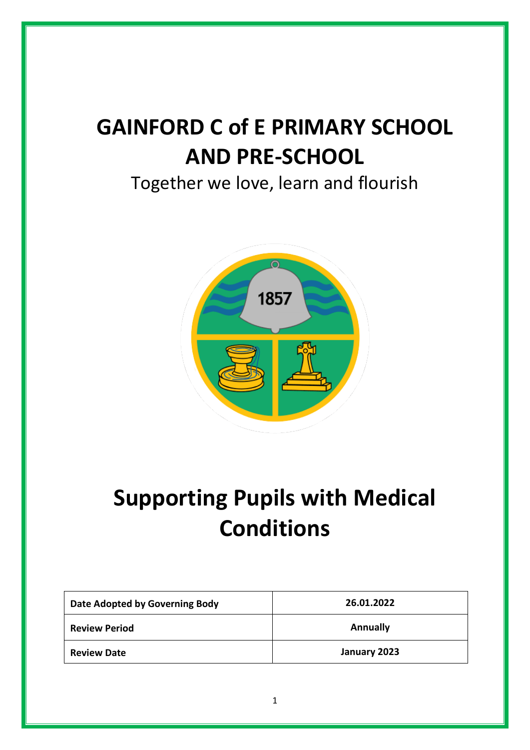# **GAINFORD C of E PRIMARY SCHOOL AND PRE-SCHOOL**

Together we love, learn and flourish



# **Supporting Pupils with Medical Conditions**

| Date Adopted by Governing Body | 26.01.2022      |
|--------------------------------|-----------------|
| <b>Review Period</b>           | <b>Annually</b> |
| <b>Review Date</b>             | January 2023    |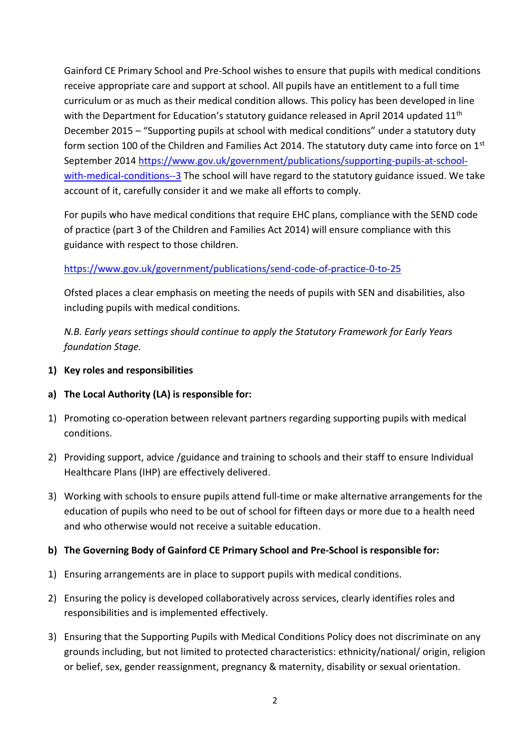Gainford CE Primary School and Pre-School wishes to ensure that pupils with medical conditions receive appropriate care and support at school. All pupils have an entitlement to a full time curriculum or as much as their medical condition allows. This policy has been developed in line with the Department for Education's statutory guidance released in April 2014 updated 11<sup>th</sup> December 2015 – "Supporting pupils at school with medical conditions" under a statutory duty form section 100 of the Children and Families Act 2014. The statutory duty came into force on 1<sup>st</sup> September 2014 [https://www.gov.uk/government/publications/supporting-pupils-at-school](https://www.gov.uk/government/publications/supporting-pupils-at-school-with-medical-conditions--3)[with-medical-conditions--3](https://www.gov.uk/government/publications/supporting-pupils-at-school-with-medical-conditions--3) The school will have regard to the statutory guidance issued. We take account of it, carefully consider it and we make all efforts to comply.

For pupils who have medical conditions that require EHC plans, compliance with the SEND code of practice (part 3 of the Children and Families Act 2014) will ensure compliance with this guidance with respect to those children.

## <https://www.gov.uk/government/publications/send-code-of-practice-0-to-25>

Ofsted places a clear emphasis on meeting the needs of pupils with SEN and disabilities, also including pupils with medical conditions.

*N.B. Early years settings should continue to apply the Statutory Framework for Early Years foundation Stage.*

- **1) Key roles and responsibilities**
- **a) The Local Authority (LA) is responsible for:**
- 1) Promoting co-operation between relevant partners regarding supporting pupils with medical conditions.
- 2) Providing support, advice /guidance and training to schools and their staff to ensure Individual Healthcare Plans (IHP) are effectively delivered.
- 3) Working with schools to ensure pupils attend full-time or make alternative arrangements for the education of pupils who need to be out of school for fifteen days or more due to a health need and who otherwise would not receive a suitable education.

# **b) The Governing Body of Gainford CE Primary School and Pre-School is responsible for:**

- 1) Ensuring arrangements are in place to support pupils with medical conditions.
- 2) Ensuring the policy is developed collaboratively across services, clearly identifies roles and responsibilities and is implemented effectively.
- 3) Ensuring that the Supporting Pupils with Medical Conditions Policy does not discriminate on any grounds including, but not limited to protected characteristics: ethnicity/national/ origin, religion or belief, sex, gender reassignment, pregnancy & maternity, disability or sexual orientation.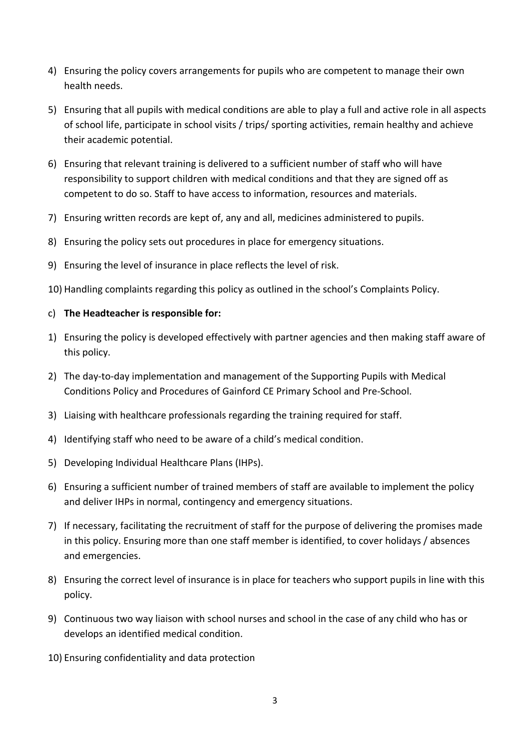- 4) Ensuring the policy covers arrangements for pupils who are competent to manage their own health needs.
- 5) Ensuring that all pupils with medical conditions are able to play a full and active role in all aspects of school life, participate in school visits / trips/ sporting activities, remain healthy and achieve their academic potential.
- 6) Ensuring that relevant training is delivered to a sufficient number of staff who will have responsibility to support children with medical conditions and that they are signed off as competent to do so. Staff to have access to information, resources and materials.
- 7) Ensuring written records are kept of, any and all, medicines administered to pupils.
- 8) Ensuring the policy sets out procedures in place for emergency situations.
- 9) Ensuring the level of insurance in place reflects the level of risk.
- 10) Handling complaints regarding this policy as outlined in the school's Complaints Policy.

#### c) **The Headteacher is responsible for:**

- 1) Ensuring the policy is developed effectively with partner agencies and then making staff aware of this policy.
- 2) The day-to-day implementation and management of the Supporting Pupils with Medical Conditions Policy and Procedures of Gainford CE Primary School and Pre-School.
- 3) Liaising with healthcare professionals regarding the training required for staff.
- 4) Identifying staff who need to be aware of a child's medical condition.
- 5) Developing Individual Healthcare Plans (IHPs).
- 6) Ensuring a sufficient number of trained members of staff are available to implement the policy and deliver IHPs in normal, contingency and emergency situations.
- 7) If necessary, facilitating the recruitment of staff for the purpose of delivering the promises made in this policy. Ensuring more than one staff member is identified, to cover holidays / absences and emergencies.
- 8) Ensuring the correct level of insurance is in place for teachers who support pupils in line with this policy.
- 9) Continuous two way liaison with school nurses and school in the case of any child who has or develops an identified medical condition.
- 10) Ensuring confidentiality and data protection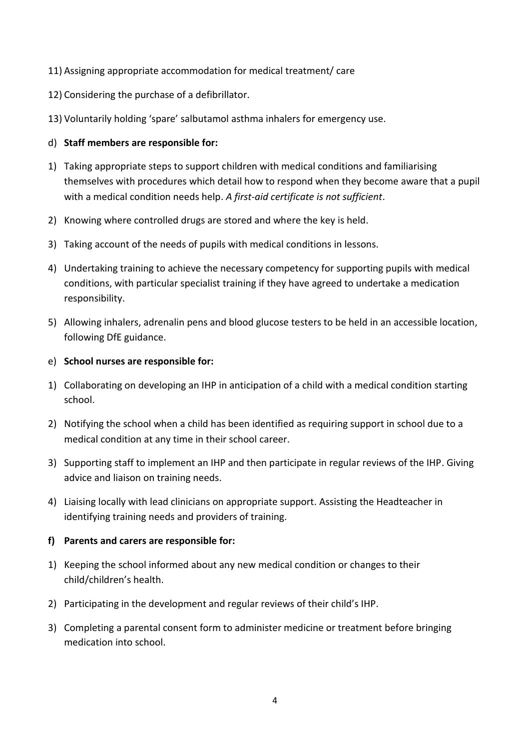- 11) Assigning appropriate accommodation for medical treatment/ care
- 12) Considering the purchase of a defibrillator.
- 13) Voluntarily holding 'spare' salbutamol asthma inhalers for emergency use.

#### d) **Staff members are responsible for:**

- 1) Taking appropriate steps to support children with medical conditions and familiarising themselves with procedures which detail how to respond when they become aware that a pupil with a medical condition needs help. *A first-aid certificate is not sufficient*.
- 2) Knowing where controlled drugs are stored and where the key is held.
- 3) Taking account of the needs of pupils with medical conditions in lessons.
- 4) Undertaking training to achieve the necessary competency for supporting pupils with medical conditions, with particular specialist training if they have agreed to undertake a medication responsibility.
- 5) Allowing inhalers, adrenalin pens and blood glucose testers to be held in an accessible location, following DfE guidance.
- e) **School nurses are responsible for:**
- 1) Collaborating on developing an IHP in anticipation of a child with a medical condition starting school.
- 2) Notifying the school when a child has been identified as requiring support in school due to a medical condition at any time in their school career.
- 3) Supporting staff to implement an IHP and then participate in regular reviews of the IHP. Giving advice and liaison on training needs.
- 4) Liaising locally with lead clinicians on appropriate support. Assisting the Headteacher in identifying training needs and providers of training.

## **f) Parents and carers are responsible for:**

- 1) Keeping the school informed about any new medical condition or changes to their child/children's health.
- 2) Participating in the development and regular reviews of their child's IHP.
- 3) Completing a parental consent form to administer medicine or treatment before bringing medication into school.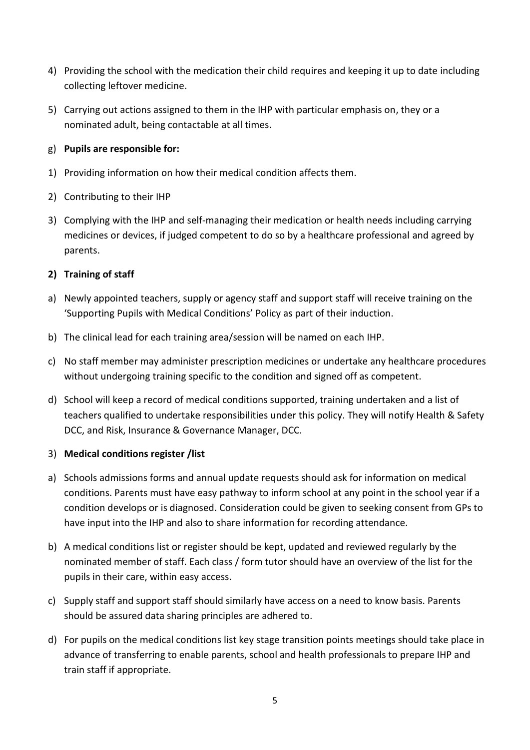- 4) Providing the school with the medication their child requires and keeping it up to date including collecting leftover medicine.
- 5) Carrying out actions assigned to them in the IHP with particular emphasis on, they or a nominated adult, being contactable at all times.

## g) **Pupils are responsible for:**

- 1) Providing information on how their medical condition affects them.
- 2) Contributing to their IHP
- 3) Complying with the IHP and self-managing their medication or health needs including carrying medicines or devices, if judged competent to do so by a healthcare professional and agreed by parents.

## **2) Training of staff**

- a) Newly appointed teachers, supply or agency staff and support staff will receive training on the 'Supporting Pupils with Medical Conditions' Policy as part of their induction.
- b) The clinical lead for each training area/session will be named on each IHP.
- c) No staff member may administer prescription medicines or undertake any healthcare procedures without undergoing training specific to the condition and signed off as competent.
- d) School will keep a record of medical conditions supported, training undertaken and a list of teachers qualified to undertake responsibilities under this policy. They will notify Health & Safety DCC, and Risk, Insurance & Governance Manager, DCC.

#### 3) **Medical conditions register /list**

- a) Schools admissions forms and annual update requests should ask for information on medical conditions. Parents must have easy pathway to inform school at any point in the school year if a condition develops or is diagnosed. Consideration could be given to seeking consent from GPs to have input into the IHP and also to share information for recording attendance.
- b) A medical conditions list or register should be kept, updated and reviewed regularly by the nominated member of staff. Each class / form tutor should have an overview of the list for the pupils in their care, within easy access.
- c) Supply staff and support staff should similarly have access on a need to know basis. Parents should be assured data sharing principles are adhered to.
- d) For pupils on the medical conditions list key stage transition points meetings should take place in advance of transferring to enable parents, school and health professionals to prepare IHP and train staff if appropriate.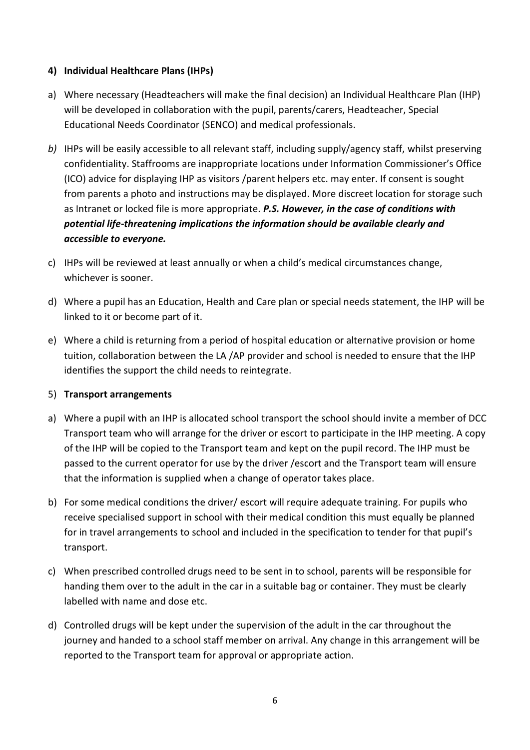## **4) Individual Healthcare Plans (IHPs)**

- a) Where necessary (Headteachers will make the final decision) an Individual Healthcare Plan (IHP) will be developed in collaboration with the pupil, parents/carers, Headteacher, Special Educational Needs Coordinator (SENCO) and medical professionals.
- *b)* IHPs will be easily accessible to all relevant staff, including supply/agency staff, whilst preserving confidentiality. Staffrooms are inappropriate locations under Information Commissioner's Office (ICO) advice for displaying IHP as visitors /parent helpers etc. may enter. If consent is sought from parents a photo and instructions may be displayed. More discreet location for storage such as Intranet or locked file is more appropriate. *P.S. However, in the case of conditions with potential life-threatening implications the information should be available clearly and accessible to everyone.*
- c) IHPs will be reviewed at least annually or when a child's medical circumstances change, whichever is sooner.
- d) Where a pupil has an Education, Health and Care plan or special needs statement, the IHP will be linked to it or become part of it.
- e) Where a child is returning from a period of hospital education or alternative provision or home tuition, collaboration between the LA /AP provider and school is needed to ensure that the IHP identifies the support the child needs to reintegrate.

## 5) **Transport arrangements**

- a) Where a pupil with an IHP is allocated school transport the school should invite a member of DCC Transport team who will arrange for the driver or escort to participate in the IHP meeting. A copy of the IHP will be copied to the Transport team and kept on the pupil record. The IHP must be passed to the current operator for use by the driver /escort and the Transport team will ensure that the information is supplied when a change of operator takes place.
- b) For some medical conditions the driver/ escort will require adequate training. For pupils who receive specialised support in school with their medical condition this must equally be planned for in travel arrangements to school and included in the specification to tender for that pupil's transport.
- c) When prescribed controlled drugs need to be sent in to school, parents will be responsible for handing them over to the adult in the car in a suitable bag or container. They must be clearly labelled with name and dose etc.
- d) Controlled drugs will be kept under the supervision of the adult in the car throughout the journey and handed to a school staff member on arrival. Any change in this arrangement will be reported to the Transport team for approval or appropriate action.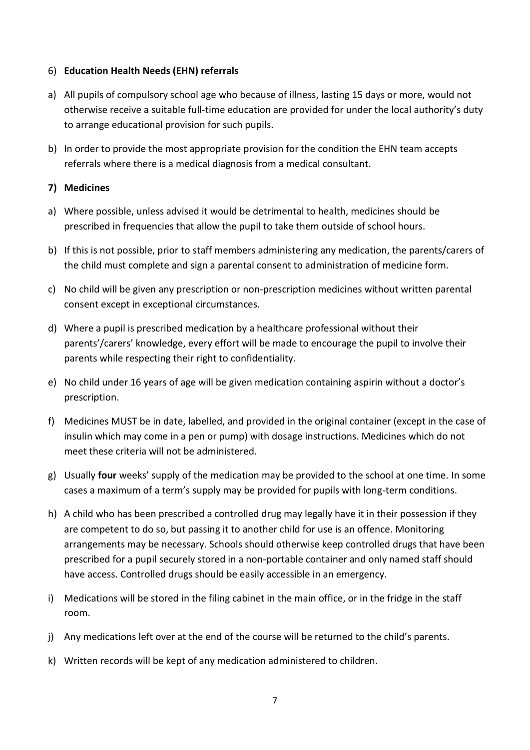### 6) **Education Health Needs (EHN) referrals**

- a) All pupils of compulsory school age who because of illness, lasting 15 days or more, would not otherwise receive a suitable full-time education are provided for under the local authority's duty to arrange educational provision for such pupils.
- b) In order to provide the most appropriate provision for the condition the EHN team accepts referrals where there is a medical diagnosis from a medical consultant.

### **7) Medicines**

- a) Where possible, unless advised it would be detrimental to health, medicines should be prescribed in frequencies that allow the pupil to take them outside of school hours.
- b) If this is not possible, prior to staff members administering any medication, the parents/carers of the child must complete and sign a parental consent to administration of medicine form.
- c) No child will be given any prescription or non-prescription medicines without written parental consent except in exceptional circumstances.
- d) Where a pupil is prescribed medication by a healthcare professional without their parents'/carers' knowledge, every effort will be made to encourage the pupil to involve their parents while respecting their right to confidentiality.
- e) No child under 16 years of age will be given medication containing aspirin without a doctor's prescription.
- f) Medicines MUST be in date, labelled, and provided in the original container (except in the case of insulin which may come in a pen or pump) with dosage instructions. Medicines which do not meet these criteria will not be administered.
- g) Usually **four** weeks' supply of the medication may be provided to the school at one time. In some cases a maximum of a term's supply may be provided for pupils with long-term conditions.
- h) A child who has been prescribed a controlled drug may legally have it in their possession if they are competent to do so, but passing it to another child for use is an offence. Monitoring arrangements may be necessary. Schools should otherwise keep controlled drugs that have been prescribed for a pupil securely stored in a non-portable container and only named staff should have access. Controlled drugs should be easily accessible in an emergency.
- i) Medications will be stored in the filing cabinet in the main office, or in the fridge in the staff room.
- j) Any medications left over at the end of the course will be returned to the child's parents.
- k) Written records will be kept of any medication administered to children.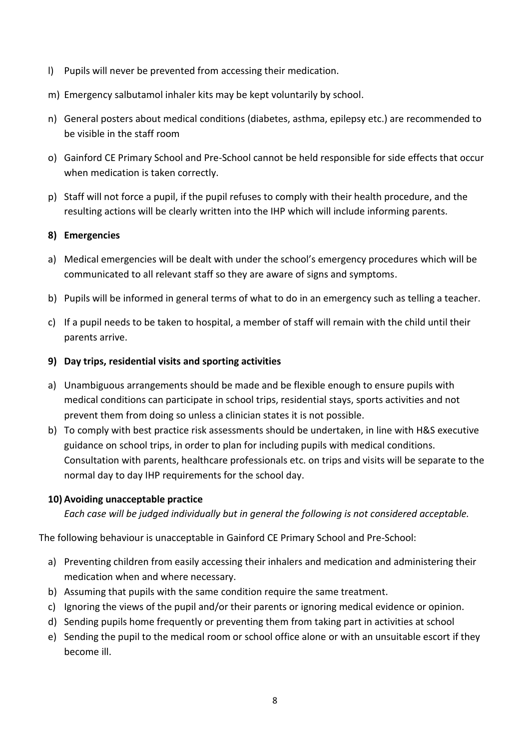- l) Pupils will never be prevented from accessing their medication.
- m) Emergency salbutamol inhaler kits may be kept voluntarily by school.
- n) General posters about medical conditions (diabetes, asthma, epilepsy etc.) are recommended to be visible in the staff room
- o) Gainford CE Primary School and Pre-School cannot be held responsible for side effects that occur when medication is taken correctly.
- p) Staff will not force a pupil, if the pupil refuses to comply with their health procedure, and the resulting actions will be clearly written into the IHP which will include informing parents.

## **8) Emergencies**

- a) Medical emergencies will be dealt with under the school's emergency procedures which will be communicated to all relevant staff so they are aware of signs and symptoms.
- b) Pupils will be informed in general terms of what to do in an emergency such as telling a teacher.
- c) If a pupil needs to be taken to hospital, a member of staff will remain with the child until their parents arrive.

## **9) Day trips, residential visits and sporting activities**

- a) Unambiguous arrangements should be made and be flexible enough to ensure pupils with medical conditions can participate in school trips, residential stays, sports activities and not prevent them from doing so unless a clinician states it is not possible.
- b) To comply with best practice risk assessments should be undertaken, in line with H&S executive guidance on school trips, in order to plan for including pupils with medical conditions. Consultation with parents, healthcare professionals etc. on trips and visits will be separate to the normal day to day IHP requirements for the school day.

## **10) Avoiding unacceptable practice**

*Each case will be judged individually but in general the following is not considered acceptable.* 

The following behaviour is unacceptable in Gainford CE Primary School and Pre-School:

- a) Preventing children from easily accessing their inhalers and medication and administering their medication when and where necessary.
- b) Assuming that pupils with the same condition require the same treatment.
- c) Ignoring the views of the pupil and/or their parents or ignoring medical evidence or opinion.
- d) Sending pupils home frequently or preventing them from taking part in activities at school
- e) Sending the pupil to the medical room or school office alone or with an unsuitable escort if they become ill.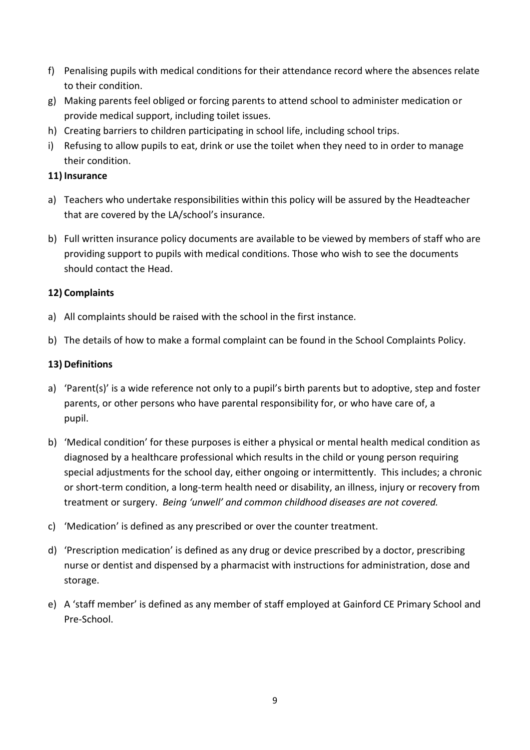- f) Penalising pupils with medical conditions for their attendance record where the absences relate to their condition.
- g) Making parents feel obliged or forcing parents to attend school to administer medication or provide medical support, including toilet issues.
- h) Creating barriers to children participating in school life, including school trips.
- i) Refusing to allow pupils to eat, drink or use the toilet when they need to in order to manage their condition.

### **11) Insurance**

- a) Teachers who undertake responsibilities within this policy will be assured by the Headteacher that are covered by the LA/school's insurance.
- b) Full written insurance policy documents are available to be viewed by members of staff who are providing support to pupils with medical conditions. Those who wish to see the documents should contact the Head.

## **12) Complaints**

- a) All complaints should be raised with the school in the first instance.
- b) The details of how to make a formal complaint can be found in the School Complaints Policy.

#### **13) Definitions**

- a) 'Parent(s)' is a wide reference not only to a pupil's birth parents but to adoptive, step and foster parents, or other persons who have parental responsibility for, or who have care of, a pupil.
- b) 'Medical condition' for these purposes is either a physical or mental health medical condition as diagnosed by a healthcare professional which results in the child or young person requiring special adjustments for the school day, either ongoing or intermittently. This includes; a chronic or short-term condition, a long-term health need or disability, an illness, injury or recovery from treatment or surgery. *Being 'unwell' and common childhood diseases are not covered.*
- c) 'Medication' is defined as any prescribed or over the counter treatment.
- d) 'Prescription medication' is defined as any drug or device prescribed by a doctor, prescribing nurse or dentist and dispensed by a pharmacist with instructions for administration, dose and storage.
- e) A 'staff member' is defined as any member of staff employed at Gainford CE Primary School and Pre-School.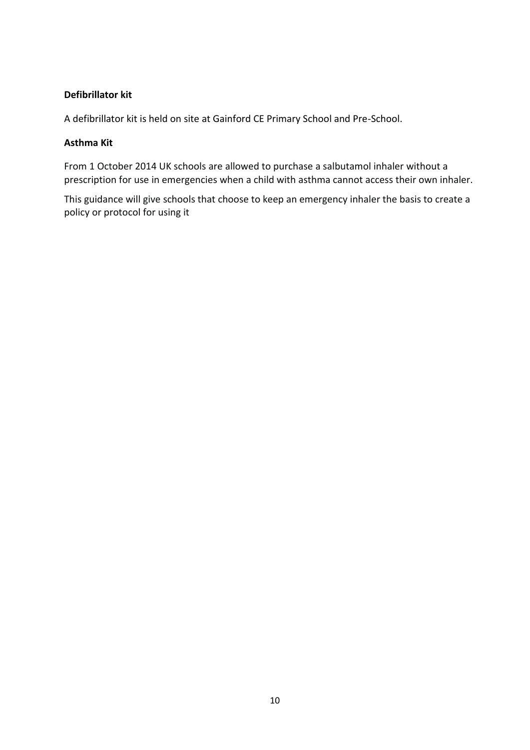### **Defibrillator kit**

A defibrillator kit is held on site at Gainford CE Primary School and Pre-School.

#### **Asthma Kit**

From 1 October 2014 UK schools are allowed to purchase a salbutamol inhaler without a prescription for use in emergencies when a child with asthma cannot access their own inhaler.

This guidance will give schools that choose to keep an emergency inhaler the basis to create a policy or protocol for using it